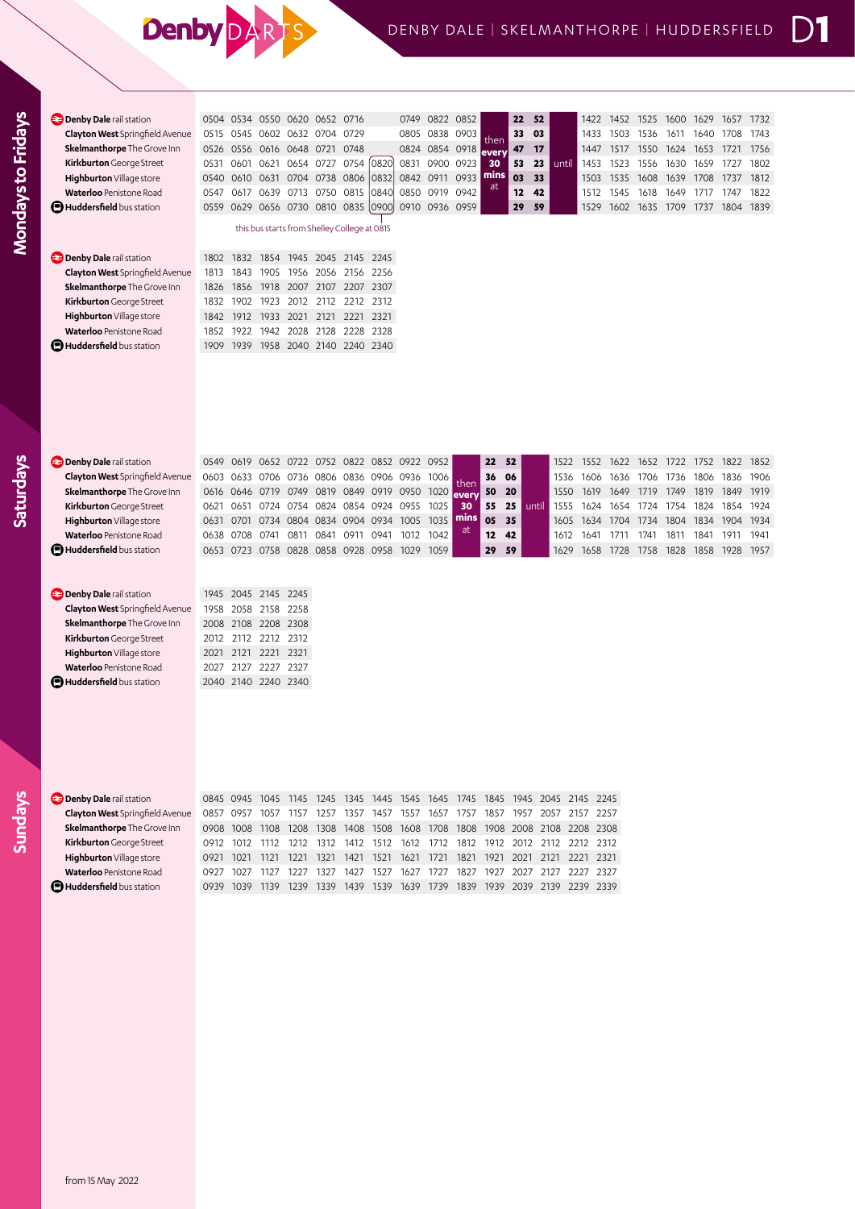## **Denby DAR**

| <b>Denby Dale</b> rail station         |      |           |                     | 0504 0534 0550 0620 0652 0716                |                |      |                     |      | 0749 0822 0852 |           |                   | 22                | 52    |       | 1422 | 1452 | 1525      | 1600      | 1629 | 1657      | 1732 |
|----------------------------------------|------|-----------|---------------------|----------------------------------------------|----------------|------|---------------------|------|----------------|-----------|-------------------|-------------------|-------|-------|------|------|-----------|-----------|------|-----------|------|
| <b>Clayton West</b> Springfield Avenue | 0515 | 0545      |                     | 0602 0632 0704                               |                | 0729 |                     | 0805 | 0838 0903      |           | then              | 33                | 03    |       | 1433 | 1503 | 1536      | 1611      | 1640 | 1708      | 1743 |
| Skelmanthorpe The Grove Inn            | 0526 | 0556 0616 |                     | 0648 0721 0748                               |                |      |                     |      | 0824 0854 0918 |           | every             | 47                | 17    |       | 1447 | 1517 | 1550      | 1624      | 1653 | 1721      | 1756 |
| Kirkburton George Street               | 0531 |           | 0601 0621           | 0654 0727 0754                               |                |      | 0820                |      | 0831 0900 0923 |           | 30                | 53                | 23    | until | 1453 | 1523 | 1556      | 1630      | 1659 | 1727      | 1802 |
| Highburton Village store               | 0540 | 0610      | 0631                | 0704 0738 0806                               |                |      | 0832                | 0842 | 0911 0933      |           | mins              | 03                | 33    |       | 1503 | 1535 | 1608      | 1639      | 1708 | 1737      | 1812 |
| Waterloo Penistone Road                | 0547 | 0617      | 0639                |                                              | 0713 0750 0815 |      | 0840                | 0850 |                | 0919 0942 | at                | $12 \overline{ }$ | 42    |       | 1512 | 1545 | 1618      | 1649      | 1717 | 1747      | 1822 |
| <b>El Huddersfield</b> bus station     | 0559 |           |                     | 0629 0656 0730 0810 0835                     |                |      | 10900               | 0910 | 0936 0959      |           |                   | 29                | 59    |       | 1529 | 1602 | 1635      | 1709      | 1737 | 1804      | 1839 |
|                                        |      |           |                     | this bus starts from Shelley College at 0815 |                |      |                     |      |                |           |                   |                   |       |       |      |      |           |           |      |           |      |
| <b>Denby Dale</b> rail station         | 1802 |           |                     | 1832 1854 1945 2045 2145 2245                |                |      |                     |      |                |           |                   |                   |       |       |      |      |           |           |      |           |      |
| <b>Clayton West</b> Springfield Avenue | 1813 | 1843      | 1905                |                                              | 1956 2056 2156 |      | 2256                |      |                |           |                   |                   |       |       |      |      |           |           |      |           |      |
| Skelmanthorpe The Grove Inn            | 1826 | 1856      | 1918                | 2007 2107 2207                               |                |      | 2307                |      |                |           |                   |                   |       |       |      |      |           |           |      |           |      |
| Kirkburton George Street               | 1832 | 1902      | 1923                | 2012                                         | 2112 2212 2312 |      |                     |      |                |           |                   |                   |       |       |      |      |           |           |      |           |      |
| Highburton Village store               | 1842 | 1912      | 1933                |                                              | 2021 2121 2221 |      | 2321                |      |                |           |                   |                   |       |       |      |      |           |           |      |           |      |
| Waterloo Penistone Road                | 1852 | 1922      | 1942                | 2028                                         | 2128 2228 2328 |      |                     |      |                |           |                   |                   |       |       |      |      |           |           |      |           |      |
| <b>D</b> Huddersfield bus station      | 1909 | 1939      | 1958                | 2040 2140 2240 2340                          |                |      |                     |      |                |           |                   |                   |       |       |      |      |           |           |      |           |      |
|                                        |      |           |                     |                                              |                |      |                     |      |                |           |                   |                   |       |       |      |      |           |           |      |           |      |
| <b>Denby Dale</b> rail station         |      | 0549 0619 |                     | 0652 0722 0752 0822 0852 0922 0952           |                |      |                     |      |                |           | 22                | 52                |       | 1522  | 1552 | 1622 | 1652      | 1722 1752 |      | 1822      | 1852 |
| <b>Clayton West</b> Springfield Avenue | 0603 |           |                     | 0633 0706 0736 0806 0836 0906 0936           |                |      |                     |      | 1006           | then      | 36                | 06                |       | 1536  | 1606 | 1636 | 1706      | 1736      | 1806 | 1836      | 1906 |
| Skelmanthorpe The Grove Inn            | 0616 | 0646 0719 |                     | 0749                                         |                |      | 0819 0849 0919 0950 |      | 1020           | every     | 50                | 20                |       | 1550  | 1619 | 1649 | 1719      | 1749      | 1819 | 1849      | 1919 |
| Kirkburton George Street               | 0621 |           | 0651 0724           | 0754                                         |                |      | 0824 0854 0924 0955 |      | 1025           | 30        | 55                | 25                | until | 1555  | 1624 | 1654 | 1724      | 1754      | 1824 | 1854      | 1924 |
| Highburton Village store               | 0631 | 0701      | 0734                |                                              |                |      | 0804 0834 0904 0934 | 1005 | 1035           | mins      | 05                | 35                |       | 1605  | 1634 | 1704 | 1734 1804 |           | 1834 | 1904      | 1934 |
| Waterloo Penistone Road                | 0638 | 0708      | 0741                | 0811 0841                                    |                | 0911 | 0941                | 1012 | 1042           | <b>at</b> | $12 \overline{ }$ | 42                |       | 1612  | 1641 | 1711 | 1741      | 1811      | 1841 | 1911      | 1941 |
| <b>D</b> Huddersfield bus station      |      |           |                     | 0653 0723 0758 0828 0858 0928 0958 1029      |                |      |                     |      | 1059           |           | 29                | 59                |       | 1629  | 1658 | 1728 | 1758      | 1828 1858 |      | 1928 1957 |      |
|                                        |      |           |                     |                                              |                |      |                     |      |                |           |                   |                   |       |       |      |      |           |           |      |           |      |
| <b>Denby Dale</b> rail station         | 1945 |           | 2045 2145           | 2245                                         |                |      |                     |      |                |           |                   |                   |       |       |      |      |           |           |      |           |      |
| <b>Clayton West</b> Springfield Avenue | 1958 |           | 2058 2158           | 2258                                         |                |      |                     |      |                |           |                   |                   |       |       |      |      |           |           |      |           |      |
| Skelmanthorpe The Grove Inn            | 2008 | 2108      | 2208                | 2308                                         |                |      |                     |      |                |           |                   |                   |       |       |      |      |           |           |      |           |      |
| Kirkburton George Street               | 2012 | 2112      | 2212 2312           |                                              |                |      |                     |      |                |           |                   |                   |       |       |      |      |           |           |      |           |      |
| Highburton Village store               | 2021 | 2121      | 2221 2321           |                                              |                |      |                     |      |                |           |                   |                   |       |       |      |      |           |           |      |           |      |
| Waterloo Penistone Road                | 2027 | 2127      | 2227 2327           |                                              |                |      |                     |      |                |           |                   |                   |       |       |      |      |           |           |      |           |      |
| <b>D</b> Huddersfield bus station      |      |           | 2040 2140 2240 2340 |                                              |                |      |                     |      |                |           |                   |                   |       |       |      |      |           |           |      |           |      |
|                                        |      |           |                     |                                              |                |      |                     |      |                |           |                   |                   |       |       |      |      |           |           |      |           |      |

| - |
|---|
| ۰ |

**Mondays to Fridays**

Mondays to Fridays

**Saturdays**

**Denby Dale** rail station 0845 0945 1045 1145 1245 1345 1445 1545 1645 1745 1845 1945 2045 2145 2245 **Clayton West** Springfield Avenue 0857 0957 1057 1157 1257 1357 1457 1557 1657 1757 1857 1957 2057 2157 2257 **Skelmanthorpe** The Grove Inn 0908 1008 1108 1208 1308 1408 1508 1608 1708 1808 1908 2008 2108 2208 2308 **Kirkburton** George Street 0912 1012 1112 1212 1312 1412 1512 1612 1712 1812 1912 2012 2112 2212 2312 **Highburton** Village store 0921 1021 1121 1221 1321 1421 1521 1621 1721 1821 1921 2021 2121 2221 2321 **Waterloo** Penistone Road 0927 1027 1127 1227 1327 1427 1527 1627 1727 1827 1927 2027 2127 2227 2327 **Huddersfield** bus station 0939 1039 1139 1239 1339 1439 1539 1639 1739 1839 1939 2039 2139 2239 2339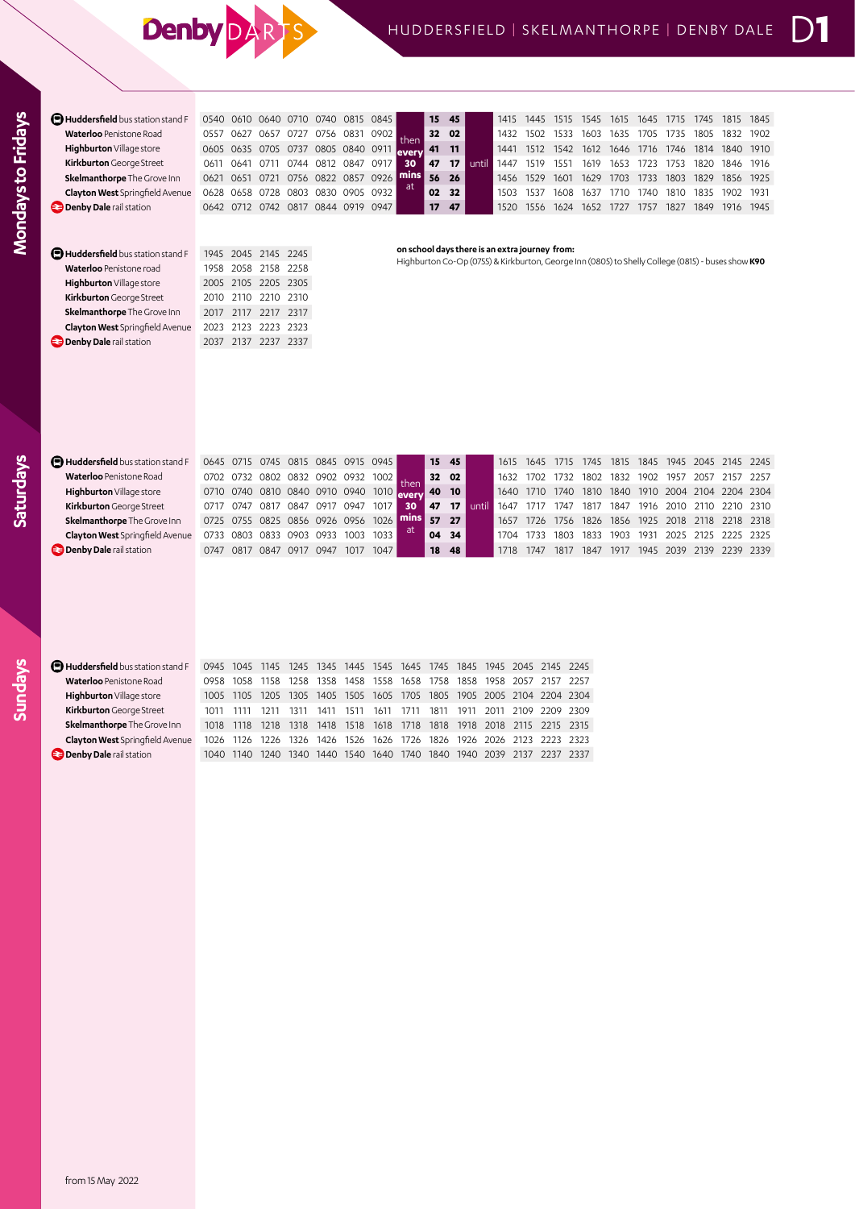## Denby DARTS

| O540  | O610        | 0640.     | 0710              |      | 0815                                | 0845 |                                     | 15                                     | 45 |       | 1415  | 1445 |      | 545                                            | 1615 | 1645 | 1715 | 745  | 1815  | 1845                                                                                              |
|-------|-------------|-----------|-------------------|------|-------------------------------------|------|-------------------------------------|----------------------------------------|----|-------|-------|------|------|------------------------------------------------|------|------|------|------|-------|---------------------------------------------------------------------------------------------------|
| 0557  | 0627        | 0657      | 0/2/              | 0756 | 0831                                |      |                                     |                                        |    |       | 1432  | 1502 |      | 1603                                           | 1635 | 1705 | 1735 | 1805 | 1832  | 1902                                                                                              |
|       |             |           |                   |      |                                     |      |                                     | 41                                     | 11 |       | 1441  | 1512 | 1542 | 1612                                           | 1646 | 1716 | 1746 | 1814 | 1840  | 1910                                                                                              |
| 0611  | 0641        | O711      | 0744              |      | 0847                                | 0917 | 30                                  | 47                                     | 17 | until | 1447  | 1519 | 1551 | 1619                                           | 1653 | 1723 | 1753 | 1820 | 1846  | 1916                                                                                              |
| 0621  | 0651        | 0721      | 0756              |      | 0857                                | 0926 |                                     | 56                                     | 26 |       | 1456  | 1529 | 1601 | 1629                                           | 1703 | 1733 | 1803 | 1829 | 1856. | 1925                                                                                              |
| 0628  | <b>0658</b> | 0728      | CO80              |      |                                     | 0932 |                                     | 02                                     | 32 |       | 1503  | 1537 | 1608 | 1637                                           | 1710 | 740  | 1810 | 1835 | 1902  | 1931                                                                                              |
| 0642  | 0712        | 0742      | 0817              |      |                                     |      |                                     | 17                                     | 47 |       | 1520. | 1556 | 1624 | 1652                                           | 1727 | 1757 | 1827 | 1849 | 1916  | 1945                                                                                              |
|       |             |           |                   |      |                                     |      |                                     |                                        |    |       |       |      |      |                                                |      |      |      |      |       |                                                                                                   |
| 1945  |             |           | 2245              |      |                                     |      |                                     |                                        |    |       |       |      |      |                                                |      |      |      |      |       |                                                                                                   |
| 1958. | 2058        | 2158      | 2258              |      |                                     |      |                                     |                                        |    |       |       |      |      |                                                |      |      |      |      |       |                                                                                                   |
|       |             | 0605 0635 | 0705<br>2045 2145 | 0737 | 0740<br>0812<br>0822<br><b>0830</b> | 0905 | 0805 0840 0911<br>0844 0919<br>0947 | 0902<br>then<br>levery<br>  mins<br>at |    | 32 02 |       |      |      | on school days there is an extra journey from: |      |      |      |      |       | Highburton Co-Op (0755) & Kirkburton, George Inn (0805) to Shelly College (0815) - buses show K90 |

| <b>E</b> Huddersheid bus station stand F | <u>1945 2045 2145 2245</u> |  |
|------------------------------------------|----------------------------|--|
| Waterloo Penistone road                  | 1958 2058 2158 2258        |  |
| Highburton Village store                 | 2005 2105 2205 2305        |  |
| Kirkburton George Street                 | 2010 2110 2210 2310        |  |
| Skelmanthorpe The Grove Inn              | 2017 2117 2217 2317        |  |
| <b>Clayton West</b> Springfield Avenue   | 2023 2123 2223 2323        |  |
| <b>Denby Dale</b> rail station           | 2037 2137 2237 2337        |  |
|                                          |                            |  |

| Huddersfield bus station stand F       |                                         |      | 0645 0715 0745 0815 0845 0915 0945        |      |      |      |      |      |    | 15 45           |       | 1615      | 1645 | 1715 |      |           |                |                     |      | 1745 1815 1845 1945 2045 2145 2245 |  |
|----------------------------------------|-----------------------------------------|------|-------------------------------------------|------|------|------|------|------|----|-----------------|-------|-----------|------|------|------|-----------|----------------|---------------------|------|------------------------------------|--|
| <b>Waterloo</b> Penistone Road         | 0702 0732 0802 0832 0902 0932 1002 then |      |                                           |      |      |      |      |      |    | 32 02           |       | 1632 1702 |      | 1732 |      |           | 1802 1832 1902 | 1957                | 2057 | 2157 2257                          |  |
| Highburton Village store               |                                         |      | 0710 0740 0810 0840 0910 0940 1010 Avenue |      |      |      |      |      |    | <b>140 10 L</b> |       | 1640 1710 |      | 1740 | 1810 |           |                |                     |      | 1840 1910 2004 2104 2204 2304      |  |
| Kirkburton George Street               | 0717 0747                               |      | 0817 0847 0917 0947                       |      |      |      | 1017 | 30   | 47 | 17 <sup>2</sup> | until | 1647      |      | 1747 | 1817 |           |                | 1847 1916 2010 2110 |      | 2210 2310                          |  |
| Skelmanthorpe The Grove Inn            |                                         |      | 0725 0755 0825 0856 0926 0956 1026        |      |      |      |      | mins | 57 | 27.             |       | 1657      | 1726 | 1756 |      |           |                |                     |      | 1826 1856 1925 2018 2118 2218 2318 |  |
| <b>Clayton West</b> Springfield Avenue |                                         |      | 0733 0803 0833 0903 0933 1003 1033        |      |      |      |      |      |    | $04 \quad 34$   |       | 1704      |      | 1803 | 1833 | 1903 1931 |                |                     |      | 2025 2125 2225 2325                |  |
| <b>Denby Dale</b> rail station         | 0747                                    | 0817 | 0847                                      | 0917 | 0947 | 1017 | 1047 |      | 18 | 48              |       | 1718      | 1747 | 1817 | 1847 | 1917      |                | 1945 2039 2139      |      | 2239 2339                          |  |
|                                        |                                         |      |                                           |      |      |      |      |      |    |                 |       |           |      |      |      |           |                |                     |      |                                    |  |

| Huddersfield bus station stand F       | 0945 1045 1145 1245 1345 1445 1545 1645 1745 1845 1945 2045 2145 2245 |           |        |      |  |  |  |  |                                                                       |  |
|----------------------------------------|-----------------------------------------------------------------------|-----------|--------|------|--|--|--|--|-----------------------------------------------------------------------|--|
| <b>Waterloo</b> Penistone Road         |                                                                       |           |        |      |  |  |  |  | 0958 1058 1158 1258 1358 1458 1558 1658 1758 1858 1958 2057 2157 2257 |  |
| Highburton Village store               |                                                                       |           |        |      |  |  |  |  | 1005 1105 1205 1305 1405 1505 1605 1705 1805 1905 2005 2104 2204 2304 |  |
| <b>Kirkburton</b> George Street        |                                                                       | 1011 1111 | - 1211 | 1311 |  |  |  |  | 1411 1511 1611 1711 1811 1911 2011 2109 2209 2309                     |  |
| Skelmanthorpe The Grove Inn            |                                                                       |           |        |      |  |  |  |  | 1018 1118 1218 1318 1418 1518 1618 1718 1818 1918 2018 2115 2215 2315 |  |
| <b>Clayton West</b> Springfield Avenue |                                                                       |           |        |      |  |  |  |  | 1026 1126 1226 1326 1426 1526 1626 1726 1826 1926 2026 2123 2223 2323 |  |
| <b>Denby Dale</b> rail station         |                                                                       | 1040 1140 | 1240   |      |  |  |  |  | 1340 1440 1540 1640 1740 1840 1940 2039 2137 2237 2337                |  |